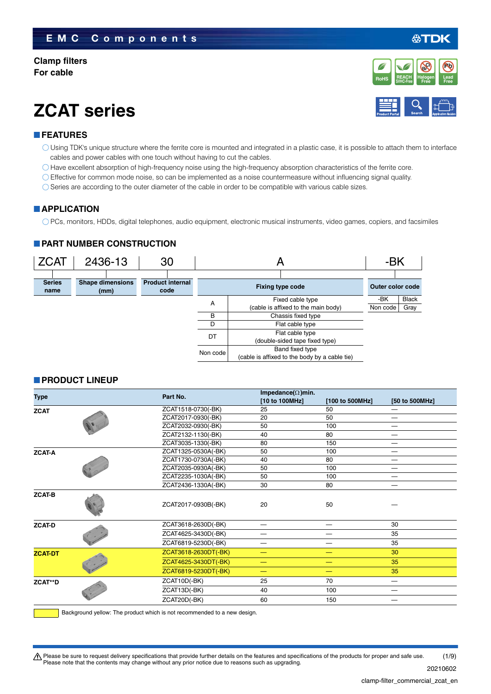#### **Clamp filters For cable**

## **ZCAT series**

#### **FEATURES**

- Using TDK's unique structure where the ferrite core is mounted and integrated in a plastic case, it is possible to attach them to interface cables and power cables with one touch without having to cut the cables.
- Have excellent absorption of high-frequency noise using the high-frequency absorption characteristics of the ferrite core.
- Effective for common mode noise, so can be implemented as a noise countermeasure without influencing signal quality.
- $\bigcirc$  Series are according to the outer diameter of the cable in order to be compatible with various cable sizes.

#### **APPLICATION**

PCs, monitors, HDDs, digital telephones, audio equipment, electronic musical instruments, video games, copiers, and facsimiles

#### **PART NUMBER CONSTRUCTION**



#### **PRODUCT LINEUP**

| Type           |                     | Part No.             | Impedance( $\Omega$ )min. |                 |                                 |  |  |
|----------------|---------------------|----------------------|---------------------------|-----------------|---------------------------------|--|--|
|                |                     |                      | [10 to 100MHz]            | [100 to 500MHz] | [50 to 500MHz]                  |  |  |
| <b>ZCAT</b>    |                     | ZCAT1518-0730(-BK)   | 25                        | 50              |                                 |  |  |
|                |                     | ZCAT2017-0930(-BK)   | 20                        | 50              |                                 |  |  |
|                |                     | ZCAT2032-0930(-BK)   | 50                        | 100             |                                 |  |  |
|                |                     | ZCAT2132-1130(-BK)   | 40                        | 80              | $\hspace{0.1mm}-\hspace{0.1mm}$ |  |  |
|                |                     | ZCAT3035-1330(-BK)   | 80                        | 150             |                                 |  |  |
| <b>ZCAT-A</b>  |                     | ZCAT1325-0530A(-BK)  | 50                        | 100             |                                 |  |  |
|                | ZCAT1730-0730A(-BK) | 40                   | 80                        |                 |                                 |  |  |
|                | ZCAT2035-0930A(-BK) | 50                   | 100                       |                 |                                 |  |  |
|                | ZCAT2235-1030A(-BK) | 50                   | 100                       |                 |                                 |  |  |
|                |                     | ZCAT2436-1330A(-BK)  | 30                        | 80              |                                 |  |  |
| <b>ZCAT-B</b>  |                     | ZCAT2017-0930B(-BK)  | 20                        | 50              |                                 |  |  |
| <b>ZCAT-D</b>  |                     | ZCAT3618-2630D(-BK)  | —                         |                 | 30                              |  |  |
|                |                     | ZCAT4625-3430D(-BK)  |                           |                 | 35                              |  |  |
|                |                     | ZCAT6819-5230D(-BK)  |                           |                 | 35                              |  |  |
| <b>ZCAT-DT</b> |                     | ZCAT3618-2630DT(-BK) | –                         |                 | 30                              |  |  |
|                |                     | ZCAT4625-3430DT(-BK) |                           |                 | 35                              |  |  |
|                |                     | ZCAT6819-5230DT(-BK) | -                         | —               | 35                              |  |  |
| ZCAT**D        |                     | ZCAT10D(-BK)         | 25                        | 70              | —                               |  |  |
|                |                     | ZCAT13D(-BK)         | 40                        | 100             | —                               |  |  |
|                |                     | ZCAT20D(-BK)         | 60                        | 150             |                                 |  |  |
|                |                     |                      |                           |                 |                                 |  |  |

Background yellow: The product which is not recommended to a new design.

t Please be sure to request delivery specifications that provide further details on the features and specifications of the products for proper and safe use. Please note that the contents may change without any prior notice due to reasons such as upgrading. (1/9)

20210602

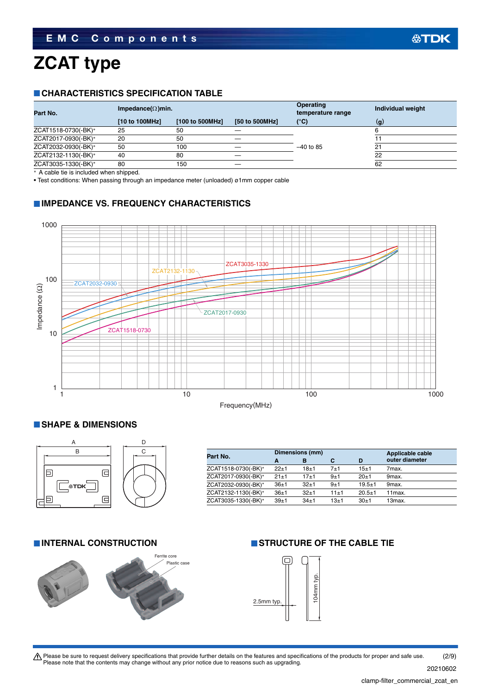# **ZCAT type**

#### **CHARACTERISTICS SPECIFICATION TABLE**

|                |                 |                           | <b>Operating</b><br>temperature range | Individual weight |
|----------------|-----------------|---------------------------|---------------------------------------|-------------------|
| [10 to 100MHz] | [100 to 500MHz] | [50 to 500MHz]            | (°C)                                  | $\mathbf{q}$      |
| 25             | 50              |                           |                                       |                   |
| 20             | 50              |                           |                                       |                   |
| 50             | 100             |                           | $-40$ to 85                           | 2.                |
| 40             | 80              |                           |                                       | 22                |
| 80             | 150             |                           |                                       | 62                |
|                |                 | Impedance( $\Omega$ )min. |                                       |                   |

A cable tie is included when shipped.

• Test conditions: When passing through an impedance meter (unloaded) ø1mm copper cable

#### **IMPEDANCE VS. FREQUENCY CHARACTERISTICS**



#### **SHAPE & DIMENSIONS**



| Part No.            |          | Dimensions (mm) |          | Applicable cable |                     |
|---------------------|----------|-----------------|----------|------------------|---------------------|
|                     | A        | в               | с        | D                | outer diameter      |
| ZCAT1518-0730(-BK)* | $22+1$   | $18 + 1$        | 7±1      | $15 + 1$         | 7max.               |
| ZCAT2017-0930(-BK)* | $21 + 1$ | $17 + 1$        | $9 + 1$  | $20+1$           | 9max.               |
| ZCAT2032-0930(-BK)* | $36 + 1$ | $32+1$          | $9 + 1$  | $19.5 + 1$       | 9 <sub>max</sub> .  |
| ZCAT2132-1130(-BK)* | $36+1$   | $32+1$          | $11 + 1$ | $20.5 + 1$       | 11 <sub>max</sub>   |
| ZCAT3035-1330(-BK)* | $39 + 1$ | $34+1$          | $13 + 1$ | $30+1$           | 13 <sub>max</sub> . |



### **INTERNAL CONSTRUCTION STRUCTURE OF THE CABLE TIE**



Please be sure to request delivery specifications that provide further details on the features and specifications of the products for proper and safe use.<br>Please note that the contents may change without any prior notice d (2/9)

20210602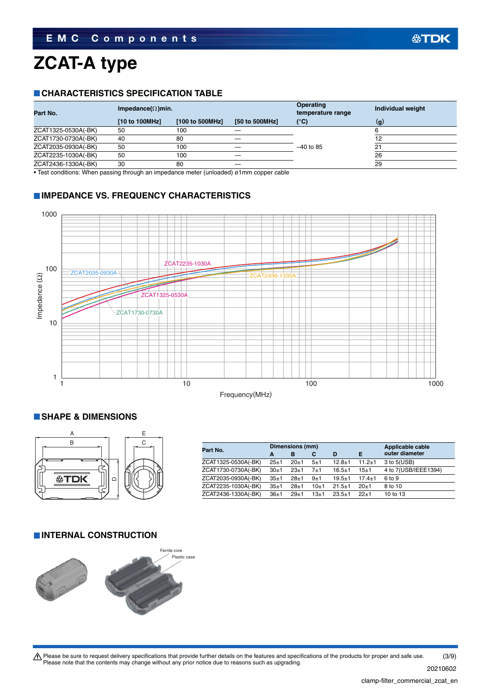# **ZCAT-A type**

#### **CHARACTERISTICS SPECIFICATION TABLE**

| Part No.            | Impedance( $\Omega$ )min. |                 |                | <b>Operating</b><br>temperature range | Individual weight |
|---------------------|---------------------------|-----------------|----------------|---------------------------------------|-------------------|
|                     | [10 to 100MHz]            | [100 to 500MHz] | [50 to 500MHz] | $(^{\circ}C)$                         | (g)               |
| ZCAT1325-0530A(-BK) | 50                        | 100             |                |                                       |                   |
| ZCAT1730-0730A(-BK) | 40                        | 80              |                |                                       |                   |
| ZCAT2035-0930A(-BK) | 50                        | 100             |                | $-40$ to 85                           | 2.                |
| ZCAT2235-1030A(-BK) | 50                        | 100             |                |                                       | 26                |
| ZCAT2436-1330A(-BK) | 30                        | 80              |                |                                       | 29                |
|                     |                           |                 |                |                                       |                   |

• Test conditions: When passing through an impedance meter (unloaded) ø1mm copper cable

#### **IMPEDANCE VS. FREQUENCY CHARACTERISTICS**



#### **SHAPE & DIMENSIONS**



| Part No.            |          | Dimensions (mm) |          | Applicable cable |              |                      |
|---------------------|----------|-----------------|----------|------------------|--------------|----------------------|
|                     | A        | в               | С        | D                | Е            | outer diameter       |
| ZCAT1325-0530A(-BK) | $25 + 1$ | $20 + 1$        | 5±1      | $12.8 \pm 1$     | $11.2 \pm 1$ | $3$ to $5(USB)$      |
| ZCAT1730-0730A(-BK) | $30+1$   | $23 + 1$        | 7±1      | $16.5 \pm 1$     | 15±1         | 4 to 7(USB/IEEE1394) |
| ZCAT2035-0930A(-BK) | $35 + 1$ | $28 + 1$        | 9±1      | $19.5 + 1$       | $17.4 + 1$   | 6 to 9               |
| ZCAT2235-1030A(-BK) | $35 + 1$ | $28 + 1$        | $10+1$   | $21.5 \pm 1$     | $20+1$       | 8 to 10              |
| ZCAT2436-1330A(-BK) | $36+1$   | $29+1$          | $13 + 1$ | $23.5 + 1$       | $22+1$       | 10 to 13             |

#### **INTERNAL CONSTRUCTION**



Please be sure to request delivery specifications that provide further details on the features and specifications of the products for proper and safe use.<br>Please note that the contents may change without any prior notice d (3/9)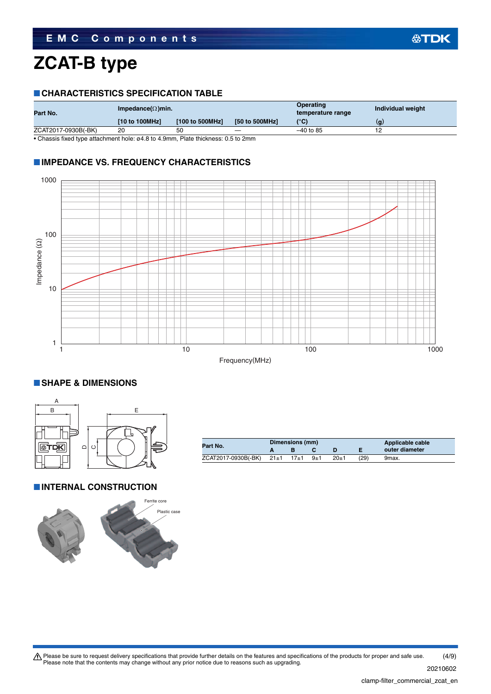### **ZCAT-B type**

#### **CHARACTERISTICS SPECIFICATION TABLE**

| Part No.            | Impedance( $\Omega$ )min. |                 |                                 | Operating<br>temperature range | Individual weight |
|---------------------|---------------------------|-----------------|---------------------------------|--------------------------------|-------------------|
|                     | [10 to 100MHz]            | [100 to 500MHz] | [50 to 500MHz]                  | $(^{\circ}C)$                  | (g)               |
| ZCAT2017-0930B(-BK) | 20                        | 50              | $\hspace{0.1mm}-\hspace{0.1mm}$ | $-40$ to 85                    |                   |
| $ -$                | .<br>.                    |                 | - - - -                         |                                |                   |

• Chassis fixed type attachment hole: ø4.8 to 4.9mm, Plate thickness: 0.5 to 2mm

#### **IMPEDANCE VS. FREQUENCY CHARACTERISTICS**



#### **SHAPE & DIMENSIONS**



**INTERNAL CONSTRUCTION** 



| Part No.                 | Dimensions (mm) |       | Applicable cable |      |                |
|--------------------------|-----------------|-------|------------------|------|----------------|
|                          |                 |       |                  |      | outer diameter |
| ZCAT2017-0930B(-BK) 21±1 | $17 + 1$        | $9+1$ | $20+1$           | (29) | 9max.          |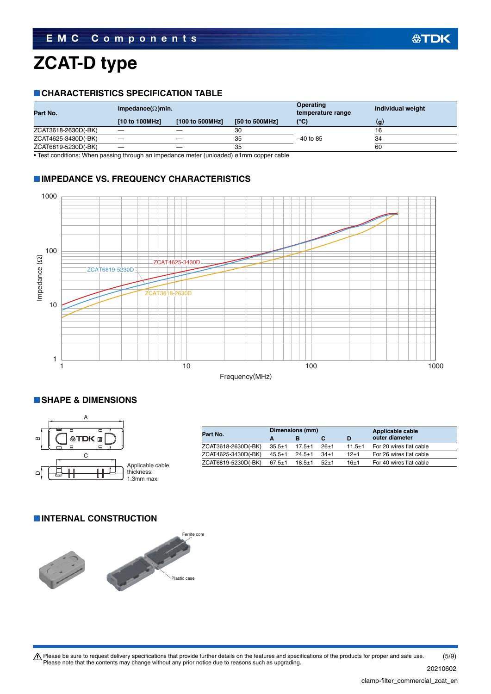### **ZCAT-D type**

#### **CHARACTERISTICS SPECIFICATION TABLE**

| Part No.            | Impedance( $\Omega$ )min. |                 |                | Operating<br>temperature range | Individual weight |
|---------------------|---------------------------|-----------------|----------------|--------------------------------|-------------------|
|                     | [10 to 100MHz]            | [100 to 500MHz] | [50 to 500MHz] | (°C)                           | (q)               |
| ZCAT3618-2630D(-BK) |                           |                 | 30             |                                |                   |
| ZCAT4625-3430D(-BK) |                           |                 | 35             | $-40$ to 85                    | 34                |
| ZCAT6819-5230D(-BK) |                           |                 | 35             |                                | 60                |

• Test conditions: When passing through an impedance meter (unloaded) ø1mm copper cable

#### **IMPEDANCE VS. FREQUENCY CHARACTERISTICS**



#### **SHAPE & DIMENSIONS**



|              |          | D                                        | outer diameter          |
|--------------|----------|------------------------------------------|-------------------------|
|              |          |                                          |                         |
| $35.5 \pm 1$ | $26 + 1$ | $11.5 \pm 1$                             | For 20 wires flat cable |
| $45.5 \pm 1$ | $34+1$   | $12 + 1$                                 | For 26 wires flat cable |
| $67.5 \pm 1$ | $52+1$   | $16 + 1$                                 | For 40 wires flat cable |
|              |          | $17.5 \pm 1$<br>$24.5 + 1$<br>$18.5 + 1$ |                         |

#### **INTERNAL CONSTRUCTION**



公TDK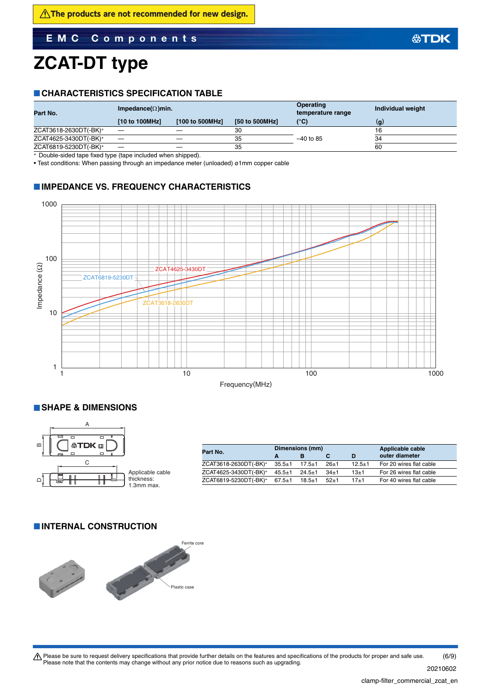#### **EMC Components**

### **ZCAT-DT type**

#### **CHARACTERISTICS SPECIFICATION TABLE**

| Part No.              | Impedance( $\Omega$ )min. |                 |                | <b>Operating</b><br>temperature range | Individual weight |
|-----------------------|---------------------------|-----------------|----------------|---------------------------------------|-------------------|
|                       | [10 to 100MHz]            | [100 to 500MHz] | [50 to 500MHz] | $(^{\circ}C)$                         | (g                |
| ZCAT3618-2630DT(-BK)* | __                        |                 | 30             |                                       | 16                |
| ZCAT4625-3430DT(-BK)* |                           |                 | 35             | $-40$ to 85                           | 34                |
| ZCAT6819-5230DT(-BK)* |                           |                 | 35             |                                       | 60                |
|                       |                           |                 |                |                                       |                   |

Double-sided tape fixed type (tape included when shipped).

• Test conditions: When passing through an impedance meter (unloaded) ø1mm copper cable

#### **IMPEDANCE VS. FREQUENCY CHARACTERISTICS**



#### **SHAPE & DIMENSIONS**



| Part No.              |              | Dimensions (mm) |        | Applicable cable |                         |
|-----------------------|--------------|-----------------|--------|------------------|-------------------------|
|                       | A            |                 |        | D                | outer diameter          |
| ZCAT3618-2630DT(-BK)* | $35.5 \pm 1$ | $17.5 \pm 1$    | $26+1$ | $12.5 + 1$       | For 20 wires flat cable |
| ZCAT4625-3430DT(-BK)* | $45.5 \pm 1$ | $24.5 \pm 1$    | $34+1$ | 13±1             | For 26 wires flat cable |
| ZCAT6819-5230DT(-BK)* | $67.5 \pm 1$ | $18.5 + 1$      | $52+1$ | $17 + 1$         | For 40 wires flat cable |

#### **INTERNAL CONSTRUCTION**



Please be sure to request delivery specifications that provide further details on the features and specifications of the products for proper and safe use.<br>Please note that the contents may change without any prior notice d (6/9)

**公TDK**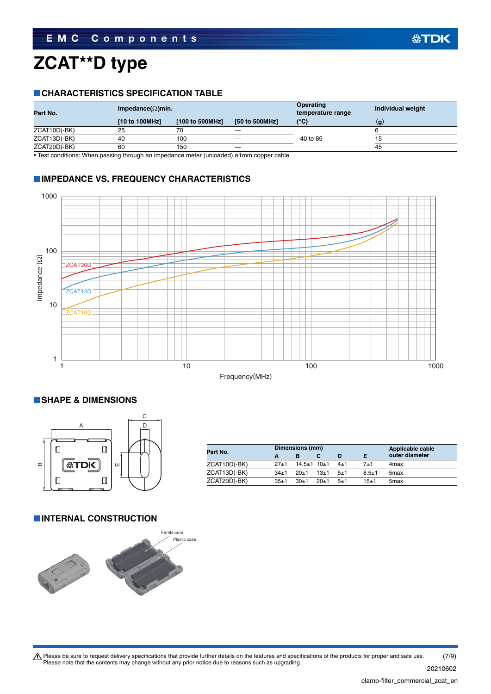# **ZCAT\*\*D type**

#### **CHARACTERISTICS SPECIFICATION TABLE**

| Part No.     | Impedance( $\Omega$ )min. |                 |                | <b>Operating</b><br>temperature range | Individual weight |
|--------------|---------------------------|-----------------|----------------|---------------------------------------|-------------------|
|              | [10 to 100MHz]            | [100 to 500MHz] | [50 to 500MHz] | $(^{\circ}C)$                         | (q)               |
| ZCAT10D(-BK) | 25                        | 70              |                |                                       |                   |
| ZCAT13D(-BK) | 40                        | 100             |                | $-40$ to 85                           |                   |
| ZCAT20D(-BK) | 60                        | 150             |                |                                       | 45                |

• Test conditions: When passing through an impedance meter (unloaded) ø1mm copper cable

#### **IMPEDANCE VS. FREQUENCY CHARACTERISTICS**



#### **SHAPE & DIMENSIONS**



| Part No.     |          | Dimensions (mm)         |        | Applicable cable |           |                |
|--------------|----------|-------------------------|--------|------------------|-----------|----------------|
|              |          | в                       |        | D                |           | outer diameter |
| ZCAT10D(-BK) | $27 + 1$ | $14.5 \pm 1$ 10 $\pm$ 1 |        | $4\pm1$          | $7 + 1$   | 4max.          |
| ZCAT13D(-BK) | $34+1$   | $20+1$                  | $13+1$ | $-5+1$           | $8.5 + 1$ | 5max.          |
| ZCAT20D(-BK) | $35 + 1$ | $30+1$                  | $20+1$ | $5 + 1$          | $15 + 1$  | 5max.          |

#### **INTERNAL CONSTRUCTION**

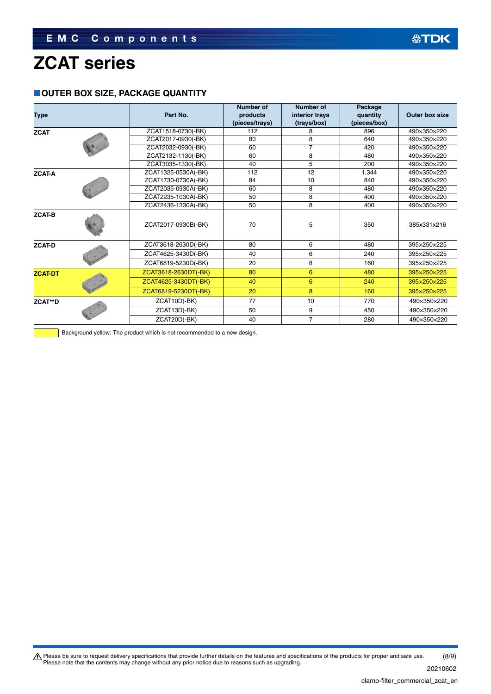### **ZCAT series**

#### **OUTER BOX SIZE, PACKAGE QUANTITY**

| <b>Type</b>    |                     | Part No.             | <b>Number of</b><br>products | Number of<br>interior trays | Package<br>quantity | Outer box size |
|----------------|---------------------|----------------------|------------------------------|-----------------------------|---------------------|----------------|
|                |                     |                      | (pieces/trays)               | (trays/box)                 | (pieces/box)        |                |
| <b>ZCAT</b>    |                     | ZCAT1518-0730(-BK)   | 112                          | 8                           | 896                 | 490×350×220    |
|                |                     | ZCAT2017-0930(-BK)   | 80                           | 8                           | 640                 | 490×350×220    |
|                |                     | ZCAT2032-0930(-BK)   | 60                           | 7                           | 420                 | 490×350×220    |
|                |                     | ZCAT2132-1130(-BK)   | 60                           | 8                           | 480                 | 490×350×220    |
|                |                     | ZCAT3035-1330(-BK)   | 40                           | 5                           | 200                 | 490×350×220    |
| <b>ZCAT-A</b>  |                     | ZCAT1325-0530A(-BK)  | 112                          | 12                          | 1.344               | 490×350×220    |
|                |                     | ZCAT1730-0730A(-BK)  | 84                           | 10                          | 840                 | 490×350×220    |
|                |                     | ZCAT2035-0930A(-BK)  | 60                           | 8                           | 480                 | 490×350×220    |
|                |                     | ZCAT2235-1030A(-BK)  | 50                           | 8                           | 400                 | 490×350×220    |
|                |                     | ZCAT2436-1330A(-BK)  | 50                           | 8                           | 400                 | 490×350×220    |
| <b>ZCAT-B</b>  | ZCAT2017-0930B(-BK) |                      | 70                           | 5                           | 350                 | 385x331x216    |
| <b>ZCAT-D</b>  |                     | ZCAT3618-2630D(-BK)  | 80                           | 6                           | 480                 | 395×250×225    |
|                |                     | ZCAT4625-3430D(-BK)  | 40                           | 6                           | 240                 | 395×250×225    |
|                |                     | ZCAT6819-5230D(-BK)  | 20                           | 8                           | 160                 | 395×250×225    |
| <b>ZCAT-DT</b> |                     | ZCAT3618-2630DT(-BK) | 80                           | 6                           | 480                 | 395×250×225    |
|                |                     | ZCAT4625-3430DT(-BK) | 40                           | 6                           | 240                 | 395×250×225    |
|                |                     | ZCAT6819-5230DT(-BK) | 20                           | 8                           | 160                 | 395×250×225    |
| ZCAT**D        |                     | ZCAT10D(-BK)         | 77                           | 10                          | 770                 | 490×350×220    |
|                |                     | ZCAT13D(-BK)         | 50                           | 9                           | 450                 | 490×350×220    |
|                |                     | ZCAT20D(-BK)         | 40                           | $\overline{7}$              | 280                 | 490×350×220    |

Background yellow: The product which is not recommended to a new design.

Please be sure to request delivery specifications that provide further details on the features and specifications of the products for proper and safe use.<br>Please note that the contents may change without any prior notice d (8/9)